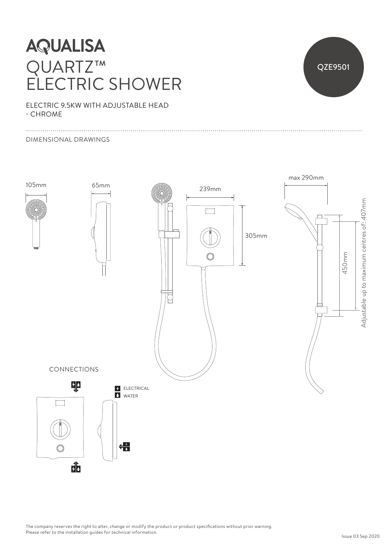## **AQUALISA** QUARTZ™ ELECTRIC SHOWER



ELECTRIC 9.5KW WITH ADJUSTABLE HEAD - CHROME

#### DIMENSIONAL DRAWINGS



The company reserves the right to alter, change or modify the product or product specifications without prior warning. Please refer to the installation guides for technical information.